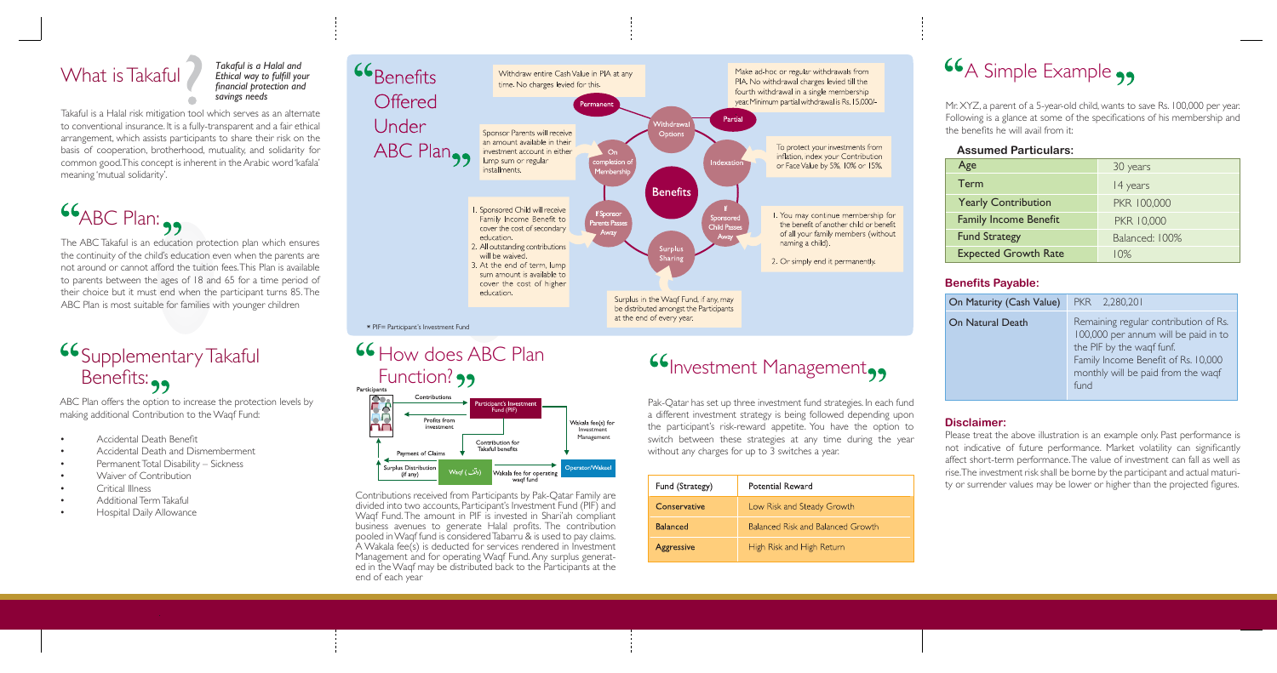The ABC Takaful is an education protection plan which ensures the continuity of the child's education even when the parents are not around or cannot afford the tuition fees. This Plan is available to parents between the ages of 18 and 65 for a time period of their choice but it must end when the participant turns 85. The ABC Plan is most suitable for families with younger children

# **Supplementary Takaful** Benefits:

# What is Takaful

ABC Plan offers the option to increase the protection levels by making additional Contribution to the Waqf Fund:

- Accidental Death Benefit
- Accidental Death and Dismemberment
- Permanent Total Disability Sickness
- Waiver of Contribution
- Critical Illness
- Additional Term Takaful
- Hospital Daily Allowance

Contributions received from Participants by Pak-Qatar Family are divided into two accounts, Participant's Investment Fund (PIF) and Waqf Fund. The amount in PIF is invested in Shari'ah compliant business avenues to generate Halal profits. The contribution pooled in Waqf fund is considered Tabarru & is used to pay claims. A Wakala fee(s) is deducted for services rendered in Investment Management and for operating Waqf Fund. Any surplus generated in the Waqf may be distributed back to the Participants at the end of each year

# **Investment Management,,**

Takaful is a Halal risk mitigation tool which serves as an alternate to conventional insurance. It is a fully-transparent and a fair ethical arrangement, which assists participants to share their risk on the basis of cooperation, brotherhood, mutuality, and solidarity for common good. This concept is inherent in the Arabic word 'kafala' meaning 'mutual solidarity'.

 $66$ ABC Plan:

Pak-Qatar has set up three investment fund strategies. In each fund a different investment strategy is being followed depending upon the participant's risk-reward appetite. You have the option to switch between these strategies at any time during the year without any charges for up to 3 switches a year.

| Fund (Strategy)   | Potential Reward                         |
|-------------------|------------------------------------------|
| Conservative      | Low Risk and Steady Growth               |
| <b>Balanced</b>   | <b>Balanced Risk and Balanced Growth</b> |
| <b>Aggressive</b> | High Risk and High Return                |

# **66** A Simple Example

Mr. XYZ, a parent of a 5-year-old child, wants to save Rs. 100,000 per year. Following is a glance at some of the specifications of his membership and the benefits he will avail from it:

### **Assumed Particulars:**

| Age                          | 30 years       |
|------------------------------|----------------|
| Term                         | 14 years       |
| <b>Yearly Contribution</b>   | PKR 100,000    |
| <b>Family Income Benefit</b> | PKR 10,000     |
| <b>Fund Strategy</b>         | Balanced: 100% |
| <b>Expected Growth Rate</b>  | $10\%$         |

| On Maturity (Cash Value) | PKR 2,280,201                                                                                                                                                                                   |
|--------------------------|-------------------------------------------------------------------------------------------------------------------------------------------------------------------------------------------------|
| <b>On Natural Death</b>  | Remaining regular contribution of Rs.<br>100,000 per annum will be paid in to<br>the PIF by the waqf funf.<br>Family Income Benefit of Rs. 10,000<br>monthly will be paid from the waqf<br>fund |

### **Benefits Payable:**

## **Disclaimer:**

Please treat the above illustration is an example only. Past performance is not indicative of future performance. Market volatility can significantly affect short-term performance. The value of investment can fall as well as rise. The investment risk shall be borne by the participant and actual maturity or surrender values may be lower or higher than the projected figures.

*Takaful is a Halal and Ethical way to fulfill your financial protection and savings needs*





# **66 How does ABC Plan** Function? 99